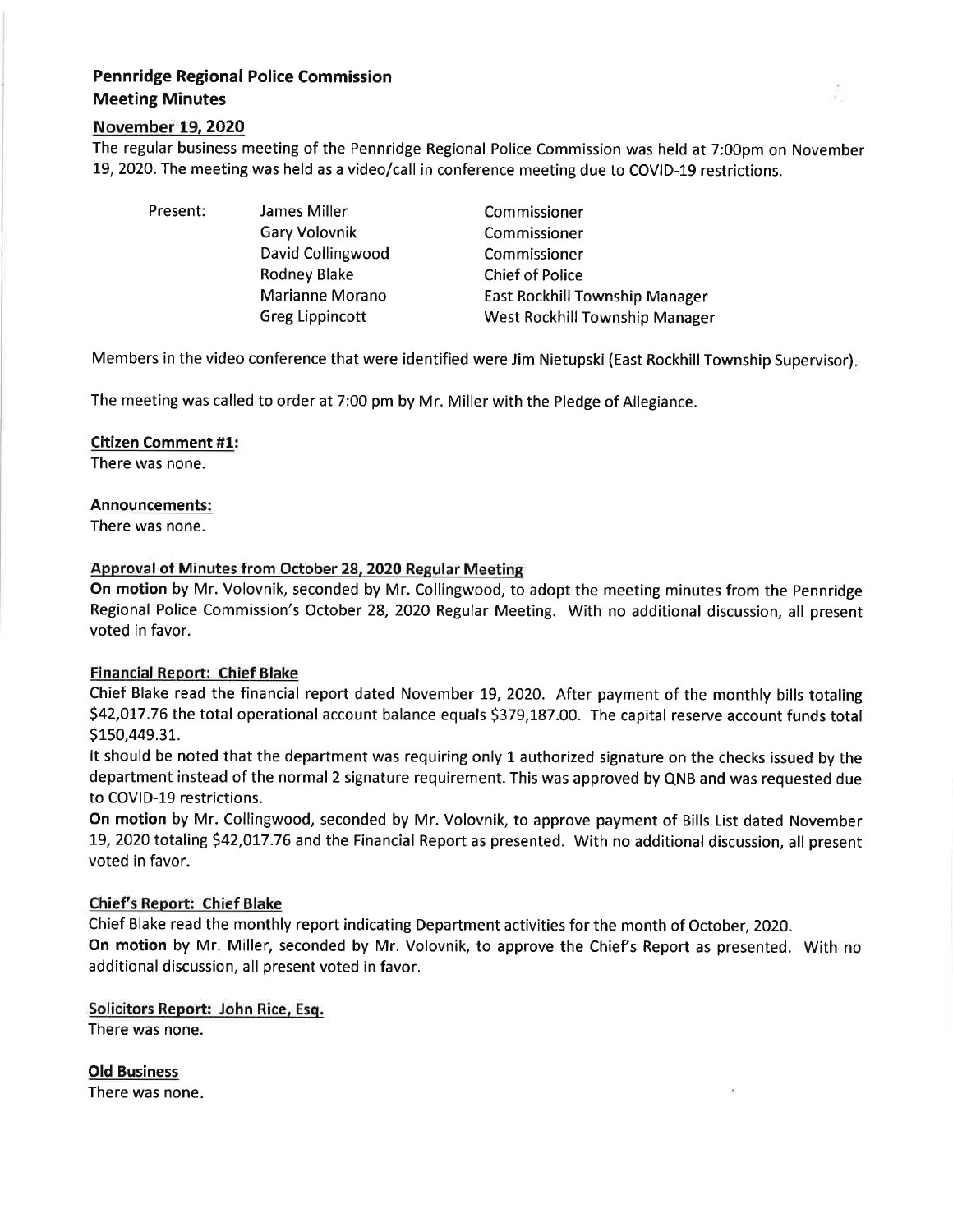# Pennridge Regional Police Commission Meeting Minutes

## November L9,2O2O

The regular business meeting of the Pennridge Regional Police Commission was held at 7:00pm on November 19, 2020. The meeting was held as a video/call in conference meeting due to COVID-19 restrictions.

| Present: | James Miller           | Commissioner                          |
|----------|------------------------|---------------------------------------|
|          | Gary Volovnik          | Commissioner                          |
|          | David Collingwood      | Commissioner                          |
|          | Rodney Blake           | <b>Chief of Police</b>                |
|          | Marianne Morano        | <b>East Rockhill Township Manager</b> |
|          | <b>Greg Lippincott</b> | West Rockhill Township Manager        |

Members in the video conference that were identified were Jim Nietupski (East Rockhill Township Supervisor)

The meeting was called to order at 7:00 pm by Mr. Miller with the Pledge of Allegiance.

## Citizen Comment #1:

There was none.

#### Announcements:

There was none.

## Approval of Minutes from October 28, 2020 Regular Meeting

On motion by Mr. Volovnik, seconded by Mr. Collingwood, to adopt the meeting minutes from the Pennridge Regional Police Commission's October 28,2O2O Regular Meeting. With no additional discussion, all present voted in favor.

## Financial Report: Chief Blake

Chief Blake read the financial report dated November L9, 2020. After payment of the monthly bills totaling \$42,017.76 the total operational account balance equals \$379,187.00. The capital reserve account funds total \$150,449.31.

It should be noted that the department was requiring only L authorized signature on the checks issued by the department instead of the normal 2 signature requirement. This was approved by QNB and was requested due to COVID-19 restrictions.

On motion by Mr. Collingwood, seconded by Mr. Volovnik, to approve payment of Bills List dated November 19, 2020 totaling \$42,017.76 and the Financial Report as presented. With no additional discussion, all present voted in favor.

## Chief's Report: Chief Blake

Chief Blake read the monthly report indicating Department activities for the month of October, 2020.

On motion by Mr. Miller, seconded by Mr. Volovnik, to approve the Chief's Report as presented. With no additional discussion, all present voted in favor.

Solicitors Report: John Rice, Esq. There was none.

Old Business There was none